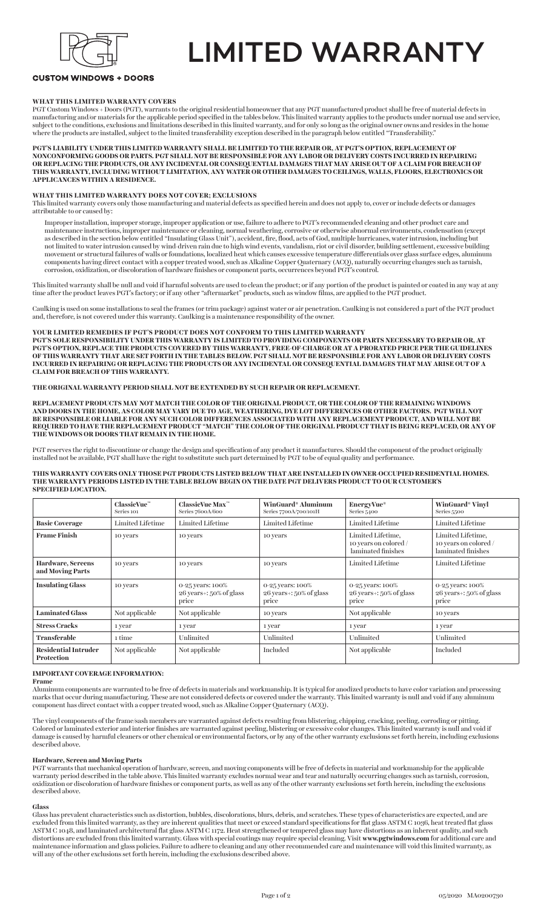

## LIMITED WARRANTY

## **CUSTOM WINDOWS + DOORS**

## **WHAT THIS LIMITED WARRANTY COVERS**

PGT Custom Windows + Doors (PGT), warrants to the original residential homeowner that any PGT manufactured product shall be free of material defects in manufacturing and/or materials for the applicable period specified in the tables below. This limited warranty applies to the products under normal use and service, subject to the conditions, exclusions and limitations described in this limited warranty, and for only so long as the original owner owns and resides in the home where the products are installed, subject to the limited transferability exception described in the paragraph below entitled "Transferability."

**PGT'S LIABILITY UNDER THIS LIMITED WARRANTY SHALL BE LIMITED TO THE REPAIR OR, AT PGT'S OPTION, REPLACEMENT OF NONCONFORMING GOODS OR PARTS. PGT SHALL NOT BE RESPONSIBLE FOR ANY LABOR OR DELIVERY COSTS INCURRED IN REPAIRING OR REPLACING THE PRODUCTS, OR ANY INCIDENTAL OR CONSEQUENTIAL DAMAGES THAT MAY ARISE OUT OF A CLAIM FOR BREACH OF THIS WARRANTY, INCLUDING WITHOUT LIMITATION, ANY WATER OR OTHER DAMAGES TO CEILINGS, WALLS, FLOORS, ELECTRONICS OR APPLICANCES WITHIN A RESIDENCE.**

#### **WHAT THIS LIMITED WARRANTY DOES NOT COVER; EXCLUSIONS**

This limited warranty covers only those manufacturing and material defects as specified herein and does not apply to, cover or include defects or damages attributable to or caused by:

Improper installation, improper storage, improper application or use, failure to adhere to PGT's recommended cleaning and other product care and maintenance instructions, improper maintenance or cleaning, normal weathering, corrosive or otherwise abnormal environments, condensation (except as described in the section below entitled "Insulating Glass Unit"), accident, fire, flood, acts of God, multiple hurricanes, water intrusion, including but not limited to water intrusion caused by wind-driven rain due to high wind events, vandalism, riot or civil disorder, building settlement, excessive building movement or structural failures of walls or foundations, localized heat which causes excessive temperature differentials over glass surface edges, aluminum components having direct contact with a copper treated wood, such as Alkaline Copper Quaternary (ACQ), naturally occurring changes such as tarnish, corrosion, oxidization, or discoloration of hardware finishes or component parts, occurrences beyond PGT's control.

This limited warranty shall be null and void if harmful solvents are used to clean the product; or if any portion of the product is painted or coated in any way at any time after the product leaves PGT's factory; or if any other "aftermarket" products, such as window films, are applied to the PGT product.

Caulking is used on some installations to seal the frames (or trim package) against water or air penetration. Caulking is not considered a part of the PGT product and, therefore, is not covered under this warranty. Caulking is a maintenance responsibility of the owner.

## **YOUR LIMITED REMEDIES IF PGT'S PRODUCT DOES NOT CONFORM TO THIS LIMITED WARRANTY**

**PGT'S SOLE RESPONSIBILITY UNDER THIS WARRANTY IS LIMITED TO PROVIDING COMPONENTS OR PARTS NECESSARY TO REPAIR OR, AT PGT'S OPTION, REPLACE THE PRODUCTS COVERED BY THIS WARRANTY, FREE-OF-CHARGE OR AT A PRORATED PRICE PER THE GUIDELINES OF THIS WARRANTY THAT ARE SET FORTH IN THE TABLES BELOW. PGT SHALL NOT BE RESPONSIBLE FOR ANY LABOR OR DELIVERY COSTS INCURRED IN REPAIRING OR REPLACING THE PRODUCTS OR ANY INCIDENTAL OR CONSEQUENTIAL DAMAGES THAT MAY ARISE OUT OF A CLAIM FOR BREACH OF THIS WARRANTY.**

#### **THE ORIGINAL WARRANTY PERIOD SHALL NOT BE EXTENDED BY SUCH REPAIR OR REPLACEMENT.**

**REPLACEMENT PRODUCTS MAY NOT MATCH THE COLOR OF THE ORIGINAL PRODUCT, OR THE COLOR OF THE REMAINING WINDOWS AND DOORS IN THE HOME, AS COLOR MAY VARY DUE TO AGE, WEATHERING, DYE LOT DIFFERENCES OR OTHER FACTORS. PGT WILL NOT BE RESPONSIBLE OR LIABLE FOR ANY SUCH COLOR DIFFERENCES ASSOCIATED WITH ANY REPLACEMENT PRODUCT, AND WILL NOT BE REQUIRED TO HAVE THE REPLACEMENT PRODUCT "MATCH" THE COLOR OF THE ORIGINAL PRODUCT THAT IS BEING REPLACED, OR ANY OF THE WINDOWS OR DOORS THAT REMAIN IN THE HOME.**

PGT reserves the right to discontinue or change the design and specification of any product it manufactures. Should the component of the product originally installed not be available, PGT shall have the right to substitute such part determined by PGT to be of equal quality and performance.

#### **THIS WARRANTY COVERS ONLY THOSE PGT PRODUCTS LISTED BELOW THAT ARE INSTALLED IN OWNER-OCCUPIED RESIDENTIAL HOMES. THE WARRANTY PERIODS LISTED IN THE TABLE BELOW BEGIN ON THE DATE PGT DELIVERS PRODUCT TO OUR CUSTOMER'S SPECIFIED LOCATION.**

|                                                  | ClassicVue <sup>7</sup><br>Series 101 | $ClassicVue$ Max $\mathbb{C}^m$<br>Series 7600A/600          | WinGuard® Aluminum<br>Series 7700A/700/101H                   | <b>EnergyVue</b> ®<br>Series 5400                                | <b>WinGuard® Vinyl</b><br>Series 5500                            |
|--------------------------------------------------|---------------------------------------|--------------------------------------------------------------|---------------------------------------------------------------|------------------------------------------------------------------|------------------------------------------------------------------|
| <b>Basic Coverage</b>                            | Limited Lifetime                      | Limited Lifetime                                             | Limited Lifetime                                              | Limited Lifetime                                                 | Limited Lifetime                                                 |
| <b>Frame Finish</b>                              | 10 years                              | 10 years                                                     | 10 years                                                      | Limited Lifetime,<br>10 years on colored /<br>laminated finishes | Limited Lifetime,<br>10 years on colored /<br>laminated finishes |
| Hardware, Screens<br>and Moving Parts            | 10 years                              | 10 years                                                     | 10 years                                                      | Limited Lifetime                                                 | Limited Lifetime                                                 |
| <b>Insulating Glass</b>                          | 10 years                              | 0-25 years: 100%<br>$26$ years $\pm$ : 50% of glass<br>price | 0-25 years: 100%<br>$26$ years $\div$ : 50% of glass<br>price | 0-25 years: 100%<br>$26$ years $\div$ : 50% of glass<br>price    | 0-25 years: 100%<br>$26$ years $\pm$ : 50% of glass<br>price     |
| <b>Laminated Glass</b>                           | Not applicable                        | Not applicable                                               | 10 years                                                      | Not applicable                                                   | 10 years                                                         |
| <b>Stress Cracks</b>                             | 1 year                                | 1 year                                                       | 1 year                                                        | 1 year                                                           | 1 year                                                           |
| <b>Transferable</b>                              | 1 time                                | Unlimited                                                    | Unlimited                                                     | Unlimited                                                        | Unlimited                                                        |
| <b>Residential Intruder</b><br><b>Protection</b> | Not applicable                        | Not applicable                                               | Included                                                      | Not applicable                                                   | Included                                                         |

#### **IMPORTANT COVERAGE INFORMATION:**

**Frame**

Aluminum components are warranted to be free of defects in materials and workmanship. It is typical for anodized products to have color variation and processing marks that occur during manufacturing. These are not considered defects or covered under the warranty. This limited warranty is null and void if any aluminum component has direct contact with a copper treated wood, such as Alkaline Copper Quaternary (ACQ).

The vinyl components of the frame/sash members are warranted against defects resulting from blistering, chipping, cracking, peeling, corroding or pitting. Colored or laminated exterior and interior finishes are warranted against peeling, blistering or excessive color changes. This limited warranty is null and void if damage is caused by harmful cleaners or other chemical or environmental factors, or by any of the other warranty exclusions set forth herein, including exclusions described above.

#### **Hardware, Screen and Moving Parts**

PGT warrants that mechanical operation of hardware, screen, and moving components will be free of defects in material and workmanship for the applicable warranty period described in the table above. This limited warranty excludes normal wear and tear and naturally occurring changes such as tarnish, corrosion, oxidization or discoloration of hardware finishes or component parts, as well as any of the other warranty exclusions set forth herein, including the exclusions described above.

#### **Glass**

Glass has prevalent characteristics such as distortion, bubbles, discolorations, blurs, debris, and scratches. These types of characteristics are expected, and are excluded from this limited warranty, as they are inherent qualities that meet or exceed standard specifications for flat glass ASTM C 1036, heat treated flat glass ASTM C 1048, and laminated architectural flat glass ASTM C 1172. Heat strengthened or tempered glass may have distortions as an inherent quality, and such distortions are excluded from this limited warranty. Glass with special coatings may require special cleaning. Visit **www.pgtwindows.com** for additional care and maintenance information and glass policies. Failure to adhere to cleaning and any other recommended care and maintenance will void this limited warranty, as will any of the other exclusions set forth herein, including the exclusions described above.